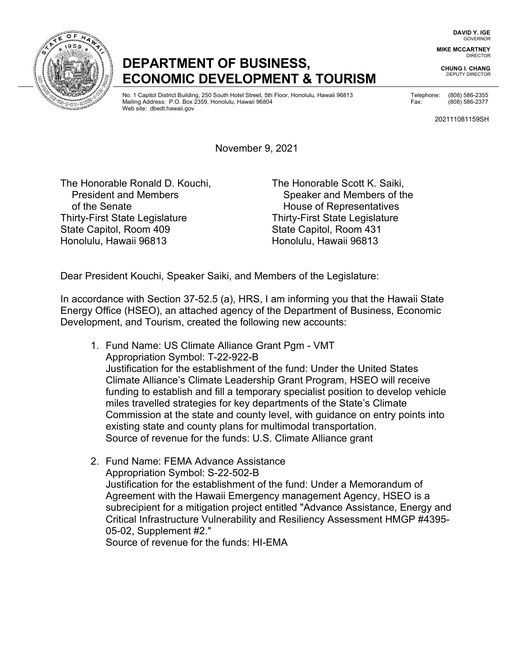**DAVID Y. IGE** GOVERNOR

**MIKE MCCARTNEY** DIRECTOR

**CHUNG I. CHANG**  DEPUTY DIRECTOR

## **DEPARTMENT OF BUSINESS, ECONOMIC DEVELOPMENT & TOURISM**

No. 1 Capitol District Building, 250 South Hotel Street, 5th Floor, Honolulu, Hawaii 96813 Telephone: (808) 586-2355 Mailing Address: P.O. Box 2359, Honolulu, Hawaii 96804 Fax: (808) 586-2377 Web site: [dbedt.hawaii.gov](https://dbedt.hawaii.gov)

202111081159SH

November 9, 2021

 Thirty-First State Legislature Thirty-First State Legislature Honolulu, Hawaii 96813 Honolulu, Hawaii 96813 The Honorable Ronald D. Kouchi, The Honorable Scott K. Saiki,<br>President and Members of the Senate **House of Representatives** State Capitol, Room 409 State Capitol, Room 431

Speaker and Members of the

Dear President Kouchi, Speaker Saiki, and Members of the Legislature:

In accordance with Section 37-52.5 (a), HRS, I am informing you that the Hawaii State Energy Office (HSEO), an attached agency of the Department of Business, Economic Development, and Tourism, created the following new accounts:

- 1. Fund Name: US Climate Alliance Grant Pgm VMT Appropriation Symbol: T-22-922-B Justification for the establishment of the fund: Under the United States Climate Alliance's Climate Leadership Grant Program, HSEO will receive funding to establish and fill a temporary specialist position to develop vehicle miles travelled strategies for key departments of the State's Climate Commission at the state and county level, with guidance on entry points into existing state and county plans for multimodal transportation. Source of revenue for the funds: U.S. Climate Alliance grant
- subrecipient for a mitigation project entitled "Advance Assistance, Energy and 2. Fund Name: FEMA Advance Assistance Appropriation Symbol: S-22-502-B Justification for the establishment of the fund: Under a Memorandum of Agreement with the Hawaii Emergency management Agency, HSEO is a Critical Infrastructure Vulnerability and Resiliency Assessment HMGP #4395- 05-02, Supplement #2."

Source of revenue for the funds: HI-EMA